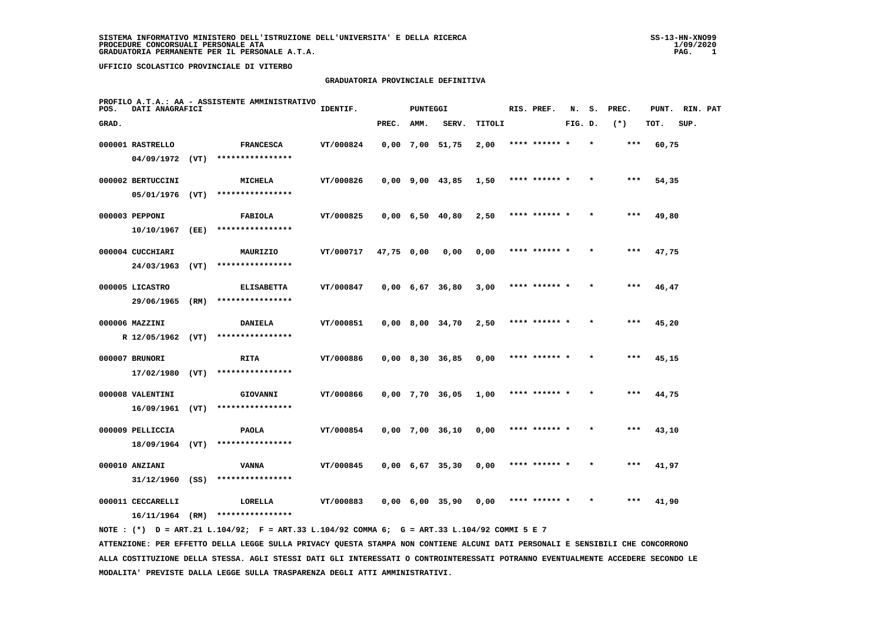#### **GRADUATORIA PROVINCIALE DEFINITIVA**

| POS.  | DATI ANAGRAFICI   |      | PROFILO A.T.A.: AA - ASSISTENTE AMMINISTRATIVO                                              | IDENTIF.  |            | PUNTEGGI |                               |        | RIS. PREF.    |         | N. S.   | PREC. | PUNT. | RIN. PAT |  |
|-------|-------------------|------|---------------------------------------------------------------------------------------------|-----------|------------|----------|-------------------------------|--------|---------------|---------|---------|-------|-------|----------|--|
| GRAD. |                   |      |                                                                                             |           | PREC.      | AMM.     | SERV.                         | TITOLI |               | FIG. D. |         | $(*)$ | TOT.  | SUP.     |  |
|       | 000001 RASTRELLO  |      | <b>FRANCESCA</b>                                                                            | VT/000824 |            |          | $0,00$ 7,00 51,75             | 2,00   | **** ****** * |         |         | $***$ | 60,75 |          |  |
|       |                   |      | 04/09/1972 (VT) ****************                                                            |           |            |          |                               |        |               |         |         |       |       |          |  |
|       | 000002 BERTUCCINI |      | <b>MICHELA</b>                                                                              | VT/000826 |            |          | $0,00$ 9,00 43,85 1,50        |        | **** ****** * |         | $\star$ | ***   | 54,35 |          |  |
|       | $05/01/1976$ (VT) |      | ****************                                                                            |           |            |          |                               |        |               |         |         |       |       |          |  |
|       | 000003 PEPPONI    |      | <b>FABIOLA</b>                                                                              | VT/000825 |            |          | $0,00 \quad 6,50 \quad 40,80$ | 2,50   | **** ****** * |         | $\star$ | $***$ | 49,80 |          |  |
|       | 10/10/1967        | (EE) | ****************                                                                            |           |            |          |                               |        |               |         |         |       |       |          |  |
|       | 000004 CUCCHIARI  |      | MAURIZIO                                                                                    | VT/000717 | 47,75 0,00 |          | 0,00                          | 0,00   | **** ****** * |         |         | $***$ | 47,75 |          |  |
|       | 24/03/1963        | (VT) | ****************                                                                            |           |            |          |                               |        |               |         |         |       |       |          |  |
|       | 000005 LICASTRO   |      | <b>ELISABETTA</b>                                                                           | VT/000847 |            |          | $0.00 \t 6.67 \t 36.80$       | 3,00   | **** ****** * |         |         | ***   | 46,47 |          |  |
|       | 29/06/1965        | (RM) | ****************                                                                            |           |            |          |                               |        |               |         |         |       |       |          |  |
|       | 000006 MAZZINI    |      | <b>DANIELA</b>                                                                              | VT/000851 |            |          | $0,00$ 8,00 34,70             | 2,50   | **** ****** * |         |         | ***   | 45,20 |          |  |
|       |                   |      | R 12/05/1962 (VT) ****************                                                          |           |            |          |                               |        |               |         |         |       |       |          |  |
|       | 000007 BRUNORI    |      | <b>RITA</b>                                                                                 | VT/000886 |            |          | $0,00$ 8,30 36,85             | 0,00   | **** ******   |         |         | ***   | 45,15 |          |  |
|       | $17/02/1980$ (VT) |      | ****************                                                                            |           |            |          |                               |        |               |         |         |       |       |          |  |
|       | 000008 VALENTINI  |      | GIOVANNI                                                                                    | VT/000866 |            |          | $0,00$ 7,70 36,05             | 1,00   | **** ****** * |         |         | ***   | 44,75 |          |  |
|       | $16/09/1961$ (VT) |      | ****************                                                                            |           |            |          |                               |        |               |         |         |       |       |          |  |
|       | 000009 PELLICCIA  |      | <b>PAOLA</b>                                                                                | VT/000854 |            |          | $0,00$ 7,00 36,10             | 0,00   | **** ****** * |         |         | ***   | 43,10 |          |  |
|       | 18/09/1964 (VT)   |      | ****************                                                                            |           |            |          |                               |        |               |         |         |       |       |          |  |
|       | 000010 ANZIANI    |      | <b>VANNA</b>                                                                                | VT/000845 |            |          | $0,00 \quad 6,67 \quad 35,30$ | 0,00   | **** ****** * |         |         | ***   | 41,97 |          |  |
|       | $31/12/1960$ (SS) |      | ****************                                                                            |           |            |          |                               |        |               |         |         |       |       |          |  |
|       | 000011 CECCARELLI |      | LORELLA                                                                                     | VT/000883 |            |          | $0,00$ 6,00 35,90             | 0,00   | **** ****** * |         |         | ***   | 41,90 |          |  |
|       |                   |      | 16/11/1964 (RM) ****************                                                            |           |            |          |                               |        |               |         |         |       |       |          |  |
|       |                   |      | NOTE: (*) D = ART.21 L.104/92; F = ART.33 L.104/92 COMMA 6; G = ART.33 L.104/92 COMMI 5 E 7 |           |            |          |                               |        |               |         |         |       |       |          |  |

 **ATTENZIONE: PER EFFETTO DELLA LEGGE SULLA PRIVACY QUESTA STAMPA NON CONTIENE ALCUNI DATI PERSONALI E SENSIBILI CHE CONCORRONO ALLA COSTITUZIONE DELLA STESSA. AGLI STESSI DATI GLI INTERESSATI O CONTROINTERESSATI POTRANNO EVENTUALMENTE ACCEDERE SECONDO LE MODALITA' PREVISTE DALLA LEGGE SULLA TRASPARENZA DEGLI ATTI AMMINISTRATIVI.**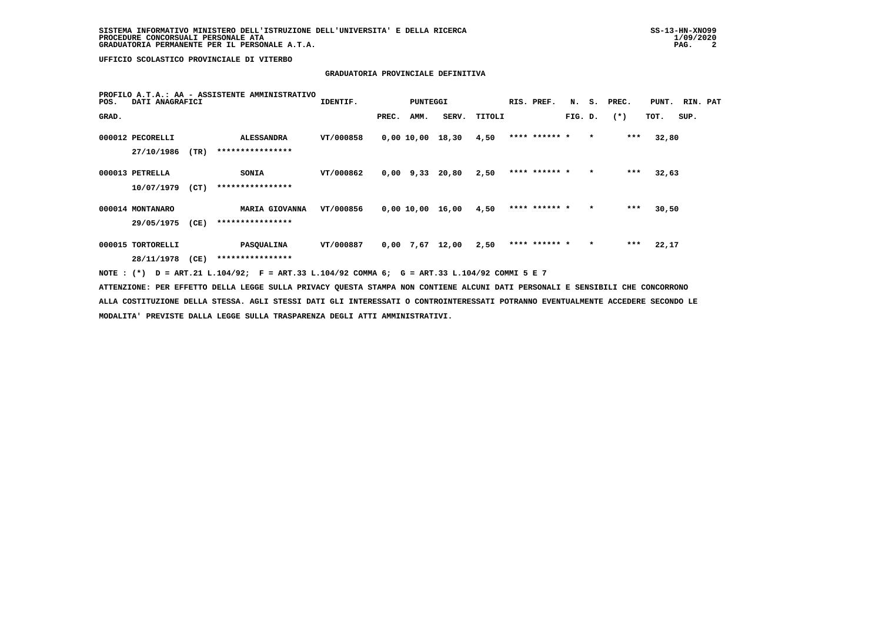# **GRADUATORIA PROVINCIALE DEFINITIVA**

| POS.              | DATI ANAGRAFICI |      | PROFILO A.T.A.: AA - ASSISTENTE AMMINISTRATIVO                                                                                  | IDENTIF.  |       | PUNTEGGI |                   |        | RIS. PREF.    | N.      |         | S. PREC. | PUNT. RIN. PAT |      |  |
|-------------------|-----------------|------|---------------------------------------------------------------------------------------------------------------------------------|-----------|-------|----------|-------------------|--------|---------------|---------|---------|----------|----------------|------|--|
| GRAD.             |                 |      |                                                                                                                                 |           | PREC. | AMM.     | SERV.             | TITOLI |               | FIG. D. |         | $(*)$    | TOT.           | SUP. |  |
| 000012 PECORELLI  |                 |      | ALESSANDRA                                                                                                                      | VT/000858 |       |          | 0,00 10,00 18,30  | 4,50   | **** ****** * |         | $\star$ | ***      | 32,80          |      |  |
|                   | 27/10/1986      | (TR) | ****************                                                                                                                |           |       |          |                   |        |               |         |         |          |                |      |  |
| 000013 PETRELLA   |                 |      | <b>SONIA</b>                                                                                                                    | VT/000862 |       |          | $0,00$ 9,33 20,80 | 2,50   | **** ****** * |         | $\star$ | $***$    | 32,63          |      |  |
|                   | 10/07/1979      | (CT) | ****************                                                                                                                |           |       |          |                   |        |               |         |         |          |                |      |  |
| 000014 MONTANARO  |                 |      | MARIA GIOVANNA                                                                                                                  | VT/000856 |       |          | 0,00 10,00 16,00  | 4,50   | **** ****** * |         | $\star$ | $***$    | 30,50          |      |  |
|                   | 29/05/1975      | (CE) | ****************                                                                                                                |           |       |          |                   |        |               |         |         |          |                |      |  |
| 000015 TORTORELLI |                 |      | <b>PASOUALINA</b>                                                                                                               | VT/000887 |       |          | $0.00$ 7.67 12.00 | 2,50   | **** ****** * |         | $\star$ | ***      | 22,17          |      |  |
|                   | 28/11/1978 (CE) |      | ****************                                                                                                                |           |       |          |                   |        |               |         |         |          |                |      |  |
|                   |                 |      | NOTE: (*) D = ART.21 L.104/92; F = ART.33 L.104/92 COMMA 6; G = ART.33 L.104/92 COMMI 5 E 7                                     |           |       |          |                   |        |               |         |         |          |                |      |  |
|                   |                 |      | ATTENZIONE: PER EFFETTO DELLA LEGGE SULLA PRIVACY QUESTA STAMPA NON CONTIENE ALCUNI DATI PERSONALI E SENSIBILI CHE CONCORRONO   |           |       |          |                   |        |               |         |         |          |                |      |  |
|                   |                 |      | ALLA COSTITUZIONE DELLA STESSA. AGLI STESSI DATI GLI INTERESSATI O CONTROINTERESSATI POTRANNO EVENTUALMENTE ACCEDERE SECONDO LE |           |       |          |                   |        |               |         |         |          |                |      |  |
|                   |                 |      | MODALITA' PREVISTE DALLA LEGGE SULLA TRASPARENZA DEGLI ATTI AMMINISTRATIVI.                                                     |           |       |          |                   |        |               |         |         |          |                |      |  |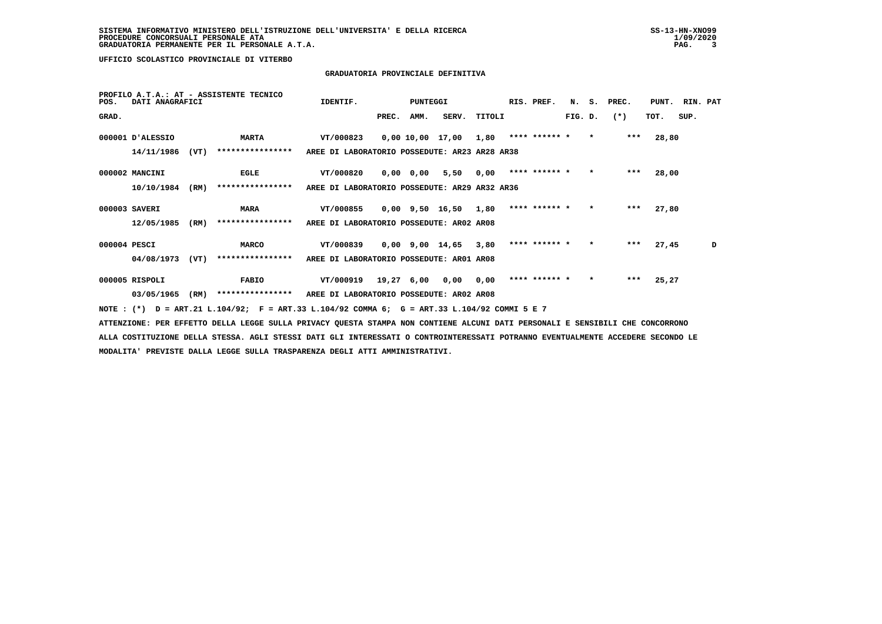## **GRADUATORIA PROVINCIALE DEFINITIVA**

| POS.         | DATI ANAGRAFICI  |      | PROFILO A.T.A.: AT - ASSISTENTE TECNICO                                                                                       | IDENTIF.                                      |       | PUNTEGGI |                               |        | RIS. PREF.      |              |         | N. S. PREC. | PUNT. | RIN. PAT |   |
|--------------|------------------|------|-------------------------------------------------------------------------------------------------------------------------------|-----------------------------------------------|-------|----------|-------------------------------|--------|-----------------|--------------|---------|-------------|-------|----------|---|
| GRAD.        |                  |      |                                                                                                                               |                                               | PREC. | AMM.     | SERV.                         | TITOLI |                 | FIG. D.      |         | $(*)$       | тот.  | SUP.     |   |
|              | 000001 D'ALESSIO |      | <b>MARTA</b>                                                                                                                  | VT/000823                                     |       |          | $0,0010,0017,001,80*********$ |        |                 |              |         | ***         | 28,80 |          |   |
|              | 14/11/1986       | (VT) | ****************                                                                                                              | AREE DI LABORATORIO POSSEDUTE: AR23 AR28 AR38 |       |          |                               |        |                 |              |         |             |       |          |   |
|              | 000002 MANCINI   |      | <b>EGLE</b>                                                                                                                   | VT/000820                                     |       |          | 0,00 0,00 5,50 0,00           |        | **** ****** * * |              |         | ***         | 28,00 |          |   |
|              | 10/10/1984       | (RM) | ****************                                                                                                              | AREE DI LABORATORIO POSSEDUTE: AR29 AR32 AR36 |       |          |                               |        |                 |              |         |             |       |          |   |
|              | 000003 SAVERI    |      | <b>MARA</b>                                                                                                                   | VT/000855                                     |       |          | 0,00 9,50 16,50 1,80          |        | **** ****** *   |              | $\star$ | ***         | 27,80 |          |   |
|              | 12/05/1985       | (RM) | ****************                                                                                                              | AREE DI LABORATORIO POSSEDUTE: AR02 AR08      |       |          |                               |        |                 |              |         |             |       |          |   |
| 000004 PESCI |                  |      | <b>MARCO</b>                                                                                                                  | VT/000839                                     |       |          | $0.00$ 9.00 14.65 3.80        |        | **** ****** *   |              | $\star$ | ***         | 27,45 |          | D |
|              | 04/08/1973       | (VT) | ****************                                                                                                              | AREE DI LABORATORIO POSSEDUTE: AR01 AR08      |       |          |                               |        |                 |              |         |             |       |          |   |
|              | 000005 RISPOLI   |      | <b>FABIO</b>                                                                                                                  | VT/000919 19,27 6,00 0,00 0,00                |       |          |                               |        | **** ****** *   | $\mathbf{r}$ |         | ***         | 25,27 |          |   |
|              | 03/05/1965       | (RM) | **************** AREE DI LABORATORIO POSSEDUTE: AR02 AR08                                                                     |                                               |       |          |                               |        |                 |              |         |             |       |          |   |
|              |                  |      | NOTE: (*) D = ART.21 L.104/92; F = ART.33 L.104/92 COMMA 6; G = ART.33 L.104/92 COMMI 5 E 7                                   |                                               |       |          |                               |        |                 |              |         |             |       |          |   |
|              |                  |      | ATTENZIONE: PER EFFETTO DELLA LEGGE SULLA PRIVACY QUESTA STAMPA NON CONTIENE ALCUNI DATI PERSONALI E SENSIBILI CHE CONCORRONO |                                               |       |          |                               |        |                 |              |         |             |       |          |   |

 **ALLA COSTITUZIONE DELLA STESSA. AGLI STESSI DATI GLI INTERESSATI O CONTROINTERESSATI POTRANNO EVENTUALMENTE ACCEDERE SECONDO LE MODALITA' PREVISTE DALLA LEGGE SULLA TRASPARENZA DEGLI ATTI AMMINISTRATIVI.**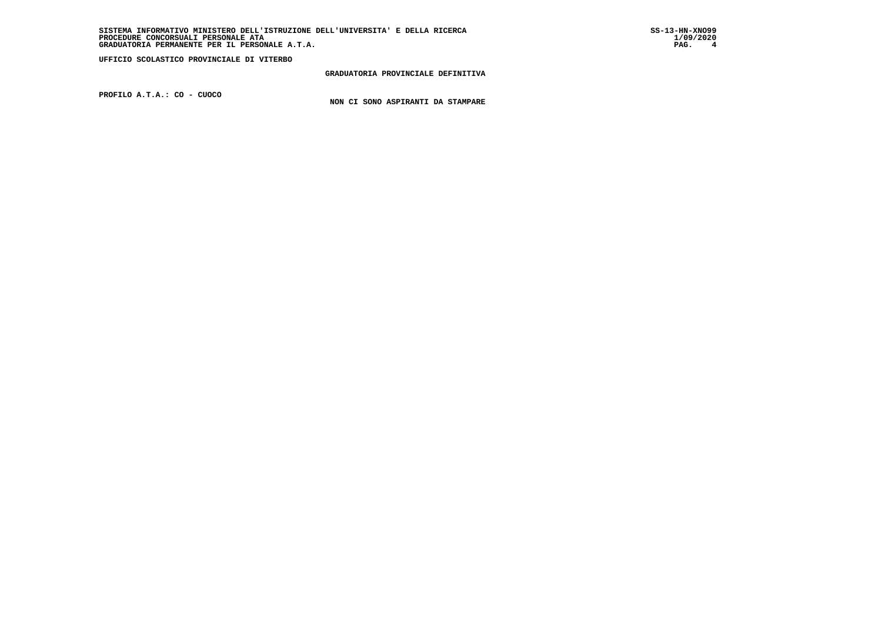**GRADUATORIA PROVINCIALE DEFINITIVA**

 **PROFILO A.T.A.: CO - CUOCO**

 **NON CI SONO ASPIRANTI DA STAMPARE**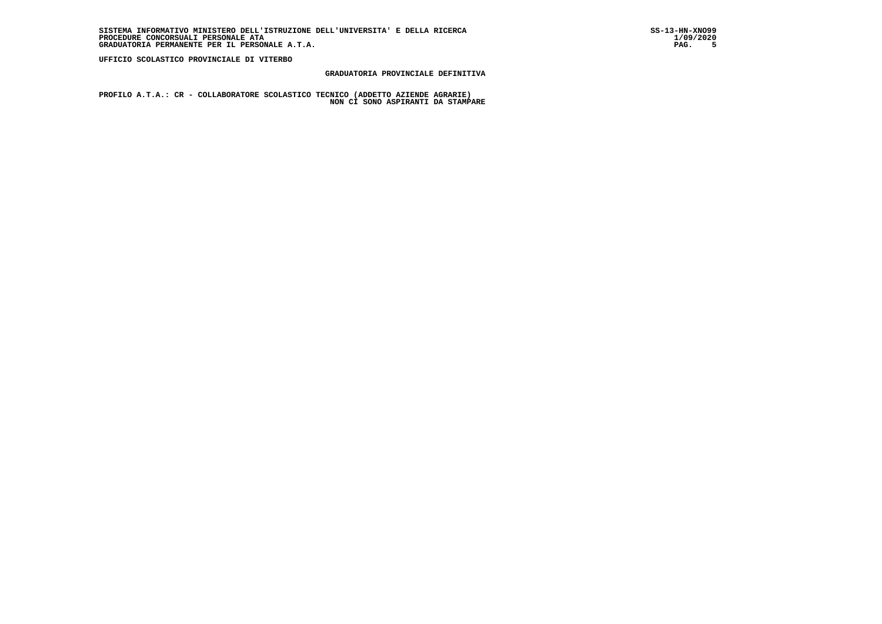## **GRADUATORIA PROVINCIALE DEFINITIVA**

 **PROFILO A.T.A.: CR - COLLABORATORE SCOLASTICO TECNICO (ADDETTO AZIENDE AGRARIE) NON CI SONO ASPIRANTI DA STAMPARE**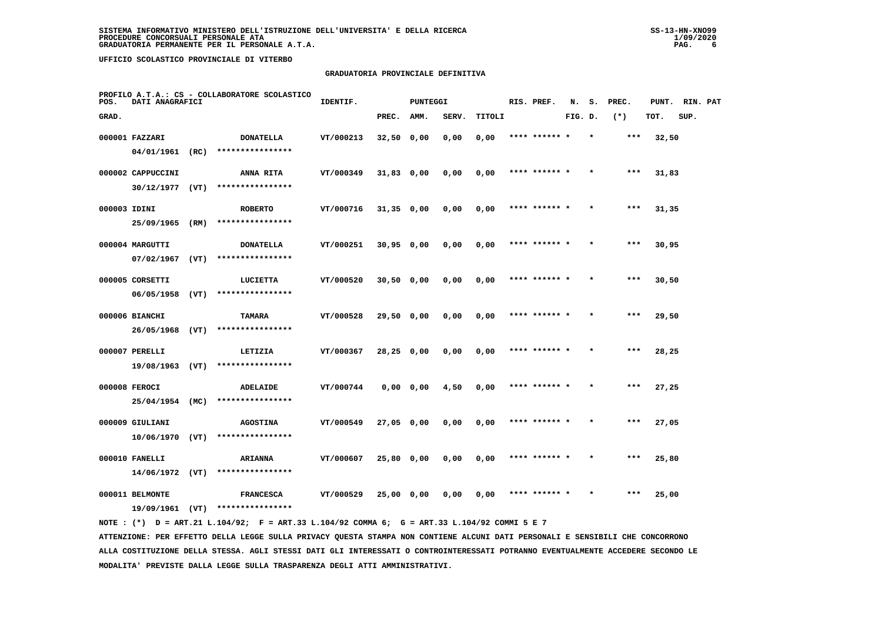## **GRADUATORIA PROVINCIALE DEFINITIVA**

| POS.         | DATI ANAGRAFICI               |      | PROFILO A.T.A.: CS - COLLABORATORE SCOLASTICO | IDENTIF.  |              | <b>PUNTEGGI</b> |       |        | RIS. PREF.    | N.      | s.      | PREC. | PUNT. | RIN. PAT |  |
|--------------|-------------------------------|------|-----------------------------------------------|-----------|--------------|-----------------|-------|--------|---------------|---------|---------|-------|-------|----------|--|
| GRAD.        |                               |      |                                               |           | PREC.        | AMM.            | SERV. | TITOLI |               | FIG. D. |         | $(*)$ | TOT.  | SUP.     |  |
|              | 000001 FAZZARI                |      | <b>DONATELLA</b>                              | VT/000213 | $32,50$ 0,00 |                 | 0,00  | 0,00   | **** ****** * |         | $\star$ | $***$ | 32,50 |          |  |
|              | 04/01/1961 (RC)               |      | ****************                              |           |              |                 |       |        |               |         |         |       |       |          |  |
|              | 000002 CAPPUCCINI             |      | ANNA RITA                                     | VT/000349 | $31,83$ 0,00 |                 | 0,00  | 0,00   | **** ****** * |         |         | $***$ | 31,83 |          |  |
|              | $30/12/1977$ (VT)             |      | ****************                              |           |              |                 |       |        |               |         |         |       |       |          |  |
| 000003 IDINI |                               |      | <b>ROBERTO</b>                                | VT/000716 | $31,35$ 0,00 |                 | 0,00  | 0,00   | **** ****** * |         |         | $***$ | 31,35 |          |  |
|              | 25/09/1965                    | (RM) | ****************                              |           |              |                 |       |        |               |         |         |       |       |          |  |
|              | 000004 MARGUTTI               |      | <b>DONATELLA</b>                              | VT/000251 | $30,95$ 0,00 |                 | 0,00  | 0,00   | **** ****** * |         |         | ***   | 30,95 |          |  |
|              | 07/02/1967                    | (VT) | ****************                              |           |              |                 |       |        |               |         |         |       |       |          |  |
|              | 000005 CORSETTI               |      | LUCIETTA                                      | VT/000520 | $30,50$ 0,00 |                 | 0,00  | 0,00   | **** ****** * |         |         | $***$ | 30,50 |          |  |
|              | 06/05/1958                    | (VT) | ****************                              |           |              |                 |       |        |               |         |         |       |       |          |  |
|              | 000006 BIANCHI                |      | <b>TAMARA</b>                                 | VT/000528 | 29,50 0,00   |                 | 0,00  | 0,00   | **** ****** * |         | $\star$ | $***$ | 29,50 |          |  |
|              | 26/05/1968 (VT)               |      | ****************                              |           |              |                 |       |        |               |         |         |       |       |          |  |
|              | 000007 PERELLI                |      | LETIZIA                                       | VT/000367 | $28,25$ 0,00 |                 | 0,00  | 0,00   |               |         |         | ***   | 28,25 |          |  |
|              | $19/08/1963$ (VT)             |      | ****************                              |           |              |                 |       |        |               |         |         |       |       |          |  |
|              | 000008 FEROCI                 |      | ADELAIDE                                      | VT/000744 |              | $0,00$ 0,00     | 4,50  | 0,00   | **** ****** * |         |         | $***$ | 27,25 |          |  |
|              | 25/04/1954 (MC)               |      | ****************                              |           |              |                 |       |        |               |         |         |       |       |          |  |
|              | 000009 GIULIANI               |      | <b>AGOSTINA</b>                               | VT/000549 | 27,05 0,00   |                 | 0,00  | 0,00   | **** ****** * |         |         | $***$ | 27,05 |          |  |
|              | 10/06/1970                    | (VT) | ****************                              |           |              |                 |       |        |               |         |         |       |       |          |  |
|              | 000010 FANELLI                |      | <b>ARIANNA</b><br>****************            | VT/000607 | 25,80 0,00   |                 | 0,00  | 0,00   | **** ****** * |         |         | $***$ | 25,80 |          |  |
|              | $14/06/1972$ (VT)             |      |                                               |           |              |                 |       |        |               |         |         |       |       |          |  |
|              | 000011 BELMONTE<br>19/09/1961 | (VT) | <b>FRANCESCA</b><br>****************          | VT/000529 | 25,00 0,00   |                 | 0.00  | 0,00   |               |         |         | ***   | 25,00 |          |  |
|              |                               |      |                                               |           |              |                 |       |        |               |         |         |       |       |          |  |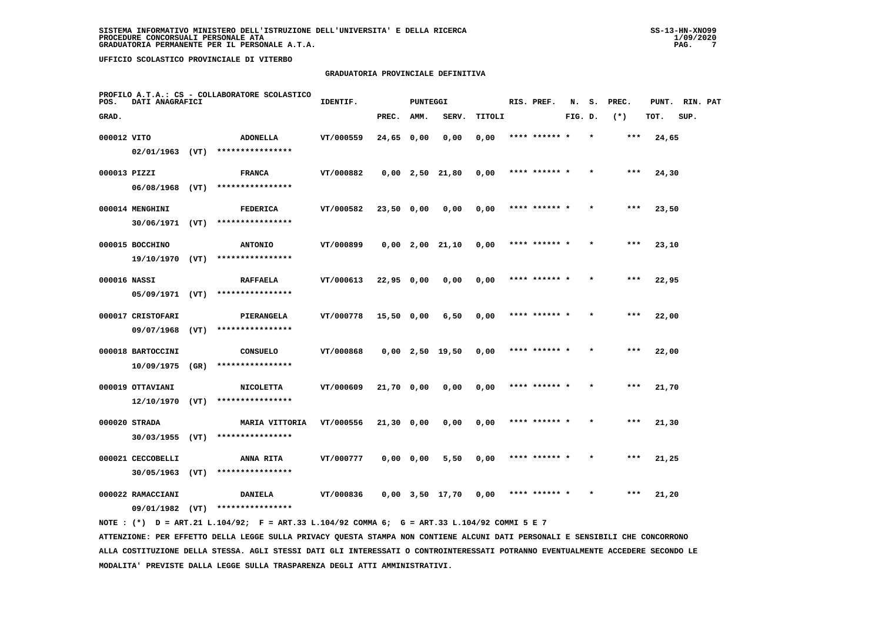## **GRADUATORIA PROVINCIALE DEFINITIVA**

| POS.         | DATI ANAGRAFICI   | PROFILO A.T.A.: CS - COLLABORATORE SCOLASTICO | IDENTIF.              |           | <b>PUNTEGGI</b> |               |                       | RIS. PREF. | N.            | s.      | PREC.   | PUNT. | RIN. PAT |      |  |
|--------------|-------------------|-----------------------------------------------|-----------------------|-----------|-----------------|---------------|-----------------------|------------|---------------|---------|---------|-------|----------|------|--|
| GRAD.        |                   |                                               |                       |           | PREC.           | AMM.          | SERV.                 | TITOLI     |               | FIG. D. |         | $(*)$ | TOT.     | SUP. |  |
| 000012 VITO  |                   |                                               | ADONELLA              | VT/000559 | 24,65 0,00      |               | 0,00                  | 0,00       | **** ****** * |         | $\star$ | ***   | 24,65    |      |  |
|              | $02/01/1963$ (VT) |                                               | ****************      |           |                 |               |                       |            |               |         |         |       |          |      |  |
| 000013 PIZZI |                   |                                               | <b>FRANCA</b>         | VT/000882 |                 |               | $0,00$ 2,50 21,80     | 0,00       | **** ******   |         |         |       | 24,30    |      |  |
|              | $06/08/1968$ (VT) |                                               | ****************      |           |                 |               |                       |            |               |         |         |       |          |      |  |
|              | 000014 MENGHINI   |                                               | FEDERICA              | VT/000582 | 23,50 0,00      |               | 0,00                  | 0,00       | **** ****** * |         |         | $***$ | 23,50    |      |  |
|              | 30/06/1971 (VT)   |                                               | ****************      |           |                 |               |                       |            |               |         |         |       |          |      |  |
|              | 000015 BOCCHINO   |                                               | <b>ANTONIO</b>        | VT/000899 |                 |               | $0,00$ $2,00$ $21,10$ | 0,00       | **** ****** * |         |         | ***   | 23,10    |      |  |
|              | 19/10/1970 (VT)   |                                               | ****************      |           |                 |               |                       |            |               |         |         |       |          |      |  |
| 000016 NASSI |                   |                                               | <b>RAFFAELA</b>       | VT/000613 | 22,95 0,00      |               | 0,00                  | 0,00       | **** ****** * |         |         | ***   | 22,95    |      |  |
|              | $05/09/1971$ (VT) |                                               | ****************      |           |                 |               |                       |            |               |         |         |       |          |      |  |
|              | 000017 CRISTOFARI |                                               | PIERANGELA            | VT/000778 | $15,50$ 0,00    |               | 6,50                  | 0,00       | **** ****** * |         |         | $***$ | 22,00    |      |  |
|              | 09/07/1968        | (VT)                                          | ****************      |           |                 |               |                       |            |               |         |         |       |          |      |  |
|              | 000018 BARTOCCINI |                                               | <b>CONSUELO</b>       | VT/000868 |                 |               | $0,00$ 2,50 19,50     | 0,00       | **** ****** * |         |         | ***   | 22,00    |      |  |
|              | 10/09/1975        | (GR)                                          | ****************      |           |                 |               |                       |            |               |         |         |       |          |      |  |
|              | 000019 OTTAVIANI  |                                               | <b>NICOLETTA</b>      | VT/000609 | $21,70$ 0,00    |               | 0,00                  | 0,00       |               |         |         | ***   | 21,70    |      |  |
|              | $12/10/1970$ (VT) |                                               | ****************      |           |                 |               |                       |            |               |         |         |       |          |      |  |
|              | 000020 STRADA     |                                               | <b>MARIA VITTORIA</b> | VT/000556 | 21,30 0,00      |               | 0,00                  | 0,00       | **** ****** * |         |         | ***   | 21,30    |      |  |
|              | 30/03/1955        | (VT)                                          | ****************      |           |                 |               |                       |            |               |         |         |       |          |      |  |
|              | 000021 CECCOBELLI |                                               | ANNA RITA             | VT/000777 |                 | $0,00$ $0,00$ | 5,50                  | 0,00       | **** ****** * |         | $\star$ | $***$ | 21,25    |      |  |
|              | 30/05/1963        | (VT)                                          | ****************      |           |                 |               |                       |            |               |         |         |       |          |      |  |
|              | 000022 RAMACCIANI |                                               | <b>DANIELA</b>        | VT/000836 |                 |               | $0,00$ $3,50$ $17,70$ | 0,00       | **** ****** * |         |         | ***   | 21,20    |      |  |
|              | 09/01/1982 (VT)   |                                               | ****************      |           |                 |               |                       |            |               |         |         |       |          |      |  |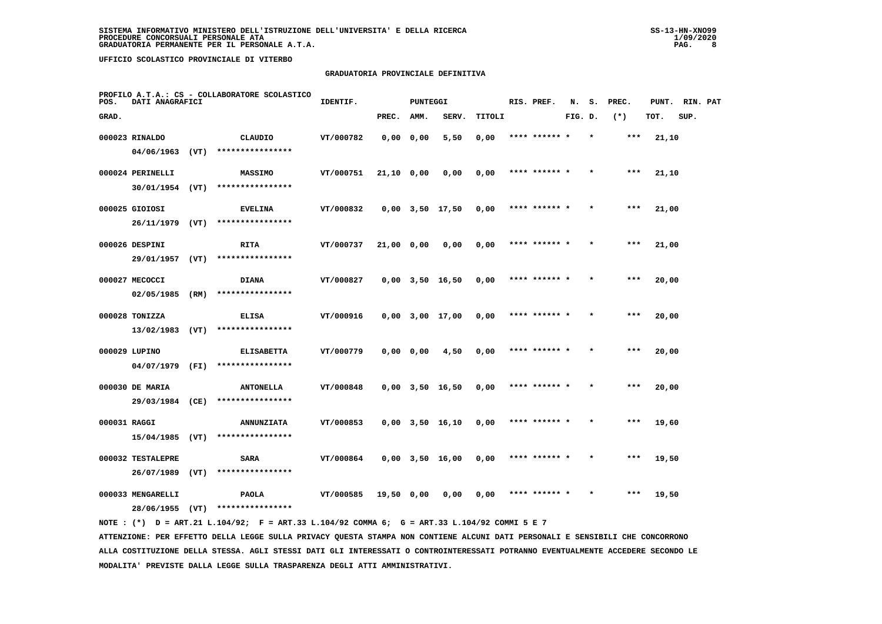## **GRADUATORIA PROVINCIALE DEFINITIVA**

| POS.         | DATI ANAGRAFICI                      | PROFILO A.T.A.: CS - COLLABORATORE SCOLASTICO | IDENTIF.                              |           | <b>PUNTEGGI</b> |           |                       | RIS. PREF. | N.            | s.      | PREC. | PUNT. | RIN. PAT |      |  |
|--------------|--------------------------------------|-----------------------------------------------|---------------------------------------|-----------|-----------------|-----------|-----------------------|------------|---------------|---------|-------|-------|----------|------|--|
| GRAD.        |                                      |                                               |                                       |           | PREC.           | AMM.      | SERV.                 | TITOLI     |               | FIG. D. |       | $(*)$ | TOT.     | SUP. |  |
|              | 000023 RINALDO                       |                                               | CLAUDIO                               | VT/000782 |                 | 0,0000,00 | 5,50                  | 0,00       | **** ****** * |         |       | $***$ | 21,10    |      |  |
|              | 04/06/1963                           | (VT)                                          | ****************                      |           |                 |           |                       |            |               |         |       |       |          |      |  |
|              | 000024 PERINELLI                     |                                               | <b>MASSIMO</b>                        | VT/000751 | 21,10 0,00      |           | 0,00                  | 0,00       | **** ****** * |         |       | $***$ | 21,10    |      |  |
|              | 30/01/1954 (VT)                      |                                               | ****************                      |           |                 |           |                       |            |               |         |       |       |          |      |  |
|              | 000025 GIOIOSI                       |                                               | <b>EVELINA</b>                        | VT/000832 |                 |           | $0,00$ $3,50$ $17,50$ | 0,00       | **** ****** * |         |       | $***$ | 21,00    |      |  |
|              | 26/11/1979 (VT)                      |                                               | ****************                      |           |                 |           |                       |            |               |         |       |       |          |      |  |
|              | 000026 DESPINI                       |                                               | <b>RITA</b>                           | VT/000737 | 21,00 0,00      |           | 0,00                  | 0,00       | **** ****** * |         |       | ***   | 21,00    |      |  |
|              | 29/01/1957                           | (VT)                                          | ****************                      |           |                 |           |                       |            |               |         |       |       |          |      |  |
|              | 000027 MECOCCI                       |                                               | <b>DIANA</b>                          | VT/000827 |                 |           | $0,00$ $3,50$ $16,50$ | 0,00       | **** ****** * |         |       | $***$ | 20,00    |      |  |
|              | 02/05/1985                           | (RM)                                          | ****************                      |           |                 |           |                       |            |               |         |       |       |          |      |  |
|              | 000028 TONIZZA                       |                                               | <b>ELISA</b>                          | VT/000916 |                 |           | $0,00$ $3,00$ $17,00$ | 0,00       | **** ****** * |         |       | $***$ | 20,00    |      |  |
|              | 13/02/1983                           | (VT)                                          | ****************                      |           |                 |           |                       |            |               |         |       |       |          |      |  |
|              | 000029 LUPINO                        |                                               | <b>ELISABETTA</b>                     | VT/000779 |                 | 0,0000,00 | 4,50                  | 0,00       | **** ****** * |         |       | $***$ | 20,00    |      |  |
|              | 04/07/1979 (FI)                      |                                               | ****************                      |           |                 |           |                       |            |               |         |       |       |          |      |  |
|              | 000030 DE MARIA                      |                                               | <b>ANTONELLA</b>                      | VT/000848 |                 |           | $0,00$ $3,50$ $16,50$ | 0,00       | **** ****** * |         |       | ***   | 20,00    |      |  |
|              | 29/03/1984 (CE)                      |                                               | ****************                      |           |                 |           |                       |            |               |         |       |       |          |      |  |
| 000031 RAGGI |                                      |                                               | <b>ANNUNZIATA</b><br>**************** | VT/000853 |                 |           | $0,00$ $3,50$ $16,10$ | 0,00       | **** ****** * |         |       | $***$ | 19,60    |      |  |
|              | 15/04/1985                           | (VT)                                          |                                       |           |                 |           |                       |            |               |         |       |       |          |      |  |
|              | 000032 TESTALEPRE<br>26/07/1989      | (VT)                                          | <b>SARA</b><br>****************       | VT/000864 |                 |           | $0,00$ $3,50$ $16,00$ | 0,00       | **** ****** * |         |       | ***   | 19,50    |      |  |
|              |                                      |                                               |                                       |           |                 |           |                       |            |               |         |       |       |          |      |  |
|              | 000033 MENGARELLI<br>28/06/1955 (VT) |                                               | <b>PAOLA</b><br>****************      | VT/000585 | 19,50 0,00      |           | 0,00                  | 0,00       | **** ****** * |         |       | $***$ | 19,50    |      |  |
|              |                                      |                                               |                                       |           |                 |           |                       |            |               |         |       |       |          |      |  |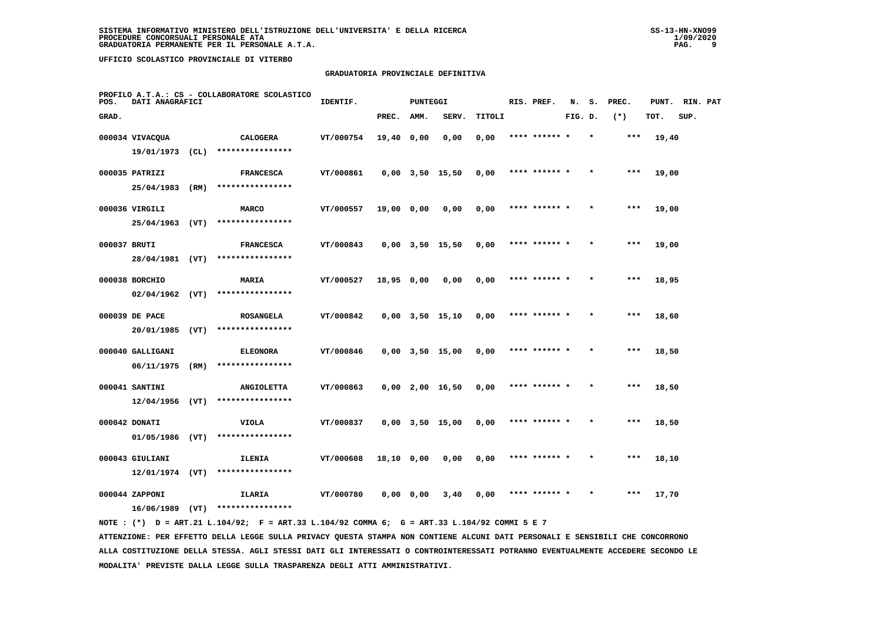## **GRADUATORIA PROVINCIALE DEFINITIVA**

| PROFILO A.T.A.: CS - COLLABORATORE SCOLASTICO<br>POS.<br>DATI ANAGRAFICI |                              |      |                            | IDENTIF.  |            | <b>PUNTEGGI</b> |                       |        | RIS. PREF.    | N.      | s.      | PREC.  | PUNT. | RIN. PAT |  |
|--------------------------------------------------------------------------|------------------------------|------|----------------------------|-----------|------------|-----------------|-----------------------|--------|---------------|---------|---------|--------|-------|----------|--|
| GRAD.                                                                    |                              |      |                            |           | PREC.      | AMM.            | SERV.                 | TITOLI |               | FIG. D. |         | $(* )$ | TOT.  | SUP.     |  |
|                                                                          | 000034 VIVACQUA              |      | <b>CALOGERA</b>            | VT/000754 | 19,40 0,00 |                 | 0,00                  | 0,00   | **** ****** * |         |         | ***    | 19,40 |          |  |
|                                                                          | 19/01/1973                   | (CL) | ****************           |           |            |                 |                       |        |               |         |         |        |       |          |  |
|                                                                          | 000035 PATRIZI               |      | <b>FRANCESCA</b>           | VT/000861 |            |                 | $0,00$ $3,50$ $15,50$ | 0,00   | **** ****** * |         |         | $***$  | 19,00 |          |  |
|                                                                          | 25/04/1983                   | (RM) | ****************           |           |            |                 |                       |        |               |         |         |        |       |          |  |
|                                                                          | 000036 VIRGILI               |      | <b>MARCO</b>               | VT/000557 | 19,00 0,00 |                 | 0,00                  | 0,00   | **** ******   |         |         | $***$  | 19,00 |          |  |
|                                                                          | 25/04/1963                   | (VT) | ****************           |           |            |                 |                       |        |               |         |         |        |       |          |  |
|                                                                          | 000037 BRUTI                 |      | <b>FRANCESCA</b>           | VT/000843 |            |                 | $0,00$ $3,50$ $15,50$ | 0,00   | **** ****** * |         |         | $***$  | 19,00 |          |  |
|                                                                          | 28/04/1981 (VT)              |      | ****************           |           |            |                 |                       |        |               |         |         |        |       |          |  |
|                                                                          | 000038 BORCHIO               |      | MARIA                      | VT/000527 | 18,95 0,00 |                 | 0,00                  | 0,00   | **** ****** * |         |         | ***    | 18,95 |          |  |
|                                                                          | $02/04/1962$ (VT)            |      | ****************           |           |            |                 |                       |        |               |         |         |        |       |          |  |
|                                                                          | 000039 DE PACE               |      | <b>ROSANGELA</b>           | VT/000842 |            |                 | $0,00$ $3,50$ $15,10$ | 0,00   | **** ****** * |         | $\star$ | $***$  | 18,60 |          |  |
|                                                                          | 20/01/1985                   | (VT) | ****************           |           |            |                 |                       |        |               |         |         |        |       |          |  |
|                                                                          | 000040 GALLIGANI             |      | <b>ELEONORA</b>            | VT/000846 |            |                 | $0,00$ $3,50$ $15,00$ | 0,00   |               |         |         | ***    | 18,50 |          |  |
|                                                                          | 06/11/1975                   | (RM) | ****************           |           |            |                 |                       |        |               |         |         |        |       |          |  |
|                                                                          | 000041 SANTINI               |      | <b>ANGIOLETTA</b>          | VT/000863 |            |                 | $0,00$ 2,00 16,50     | 0,00   | **** ****** * |         |         | $***$  | 18,50 |          |  |
|                                                                          | $12/04/1956$ (VT)            |      | ****************           |           |            |                 |                       |        |               |         |         |        |       |          |  |
|                                                                          | 000042 DONATI                |      | <b>VIOLA</b>               | VT/000837 |            |                 | $0,00$ $3,50$ $15,00$ | 0,00   | **** ****** * |         |         | $***$  | 18,50 |          |  |
|                                                                          | 01/05/1986                   | (VT) | ****************           |           |            |                 |                       |        |               |         |         |        |       |          |  |
|                                                                          | 000043 GIULIANI              |      | ILENIA<br>**************** | VT/000608 | 18,10 0,00 |                 | 0,00                  | 0,00   | **** ****** * |         |         | $***$  | 18,10 |          |  |
|                                                                          | $12/01/1974$ (VT)            |      |                            |           |            |                 |                       |        |               |         |         |        |       |          |  |
|                                                                          | 000044 ZAPPONI<br>16/06/1989 | (VT) | ILARIA<br>**************** | VT/000780 |            | $0,00$ 0,00     | 3,40                  | 0,00   |               |         |         | ***    | 17,70 |          |  |
|                                                                          |                              |      |                            |           |            |                 |                       |        |               |         |         |        |       |          |  |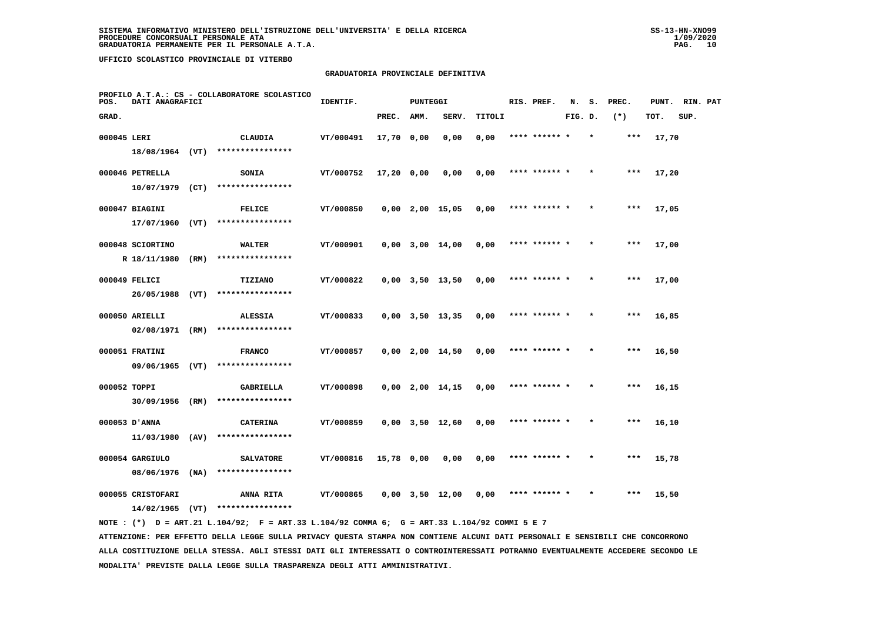## **GRADUATORIA PROVINCIALE DEFINITIVA**

| POS.        | DATI ANAGRAFICI   | PROFILO A.T.A.: CS - COLLABORATORE SCOLASTICO | IDENTIF.                      |           | <b>PUNTEGGI</b> |      |                       | RIS. PREF. | N.            | s.      | PREC. | PUNT. | RIN. PAT |      |  |
|-------------|-------------------|-----------------------------------------------|-------------------------------|-----------|-----------------|------|-----------------------|------------|---------------|---------|-------|-------|----------|------|--|
| GRAD.       |                   |                                               |                               |           | PREC.           | AMM. | SERV.                 | TITOLI     |               | FIG. D. |       | $(*)$ | TOT.     | SUP. |  |
| 000045 LERI |                   |                                               | CLAUDIA                       | VT/000491 | 17,70 0,00      |      | 0,00                  | 0,00       | **** ****** * |         |       | ***   | 17,70    |      |  |
|             | 18/08/1964 (VT)   |                                               | ****************              |           |                 |      |                       |            |               |         |       |       |          |      |  |
|             | 000046 PETRELLA   |                                               | <b>SONIA</b>                  | VT/000752 | 17,20 0,00      |      | 0,00                  | 0,00       | **** ****** * |         |       | $***$ | 17,20    |      |  |
|             | $10/07/1979$ (CT) |                                               | ****************              |           |                 |      |                       |            |               |         |       |       |          |      |  |
|             | 000047 BIAGINI    |                                               | <b>FELICE</b>                 | VT/000850 |                 |      | $0,00$ 2,00 15,05     | 0,00       | **** ****** * |         |       | $***$ | 17,05    |      |  |
|             | 17/07/1960        | (VT)                                          | ****************              |           |                 |      |                       |            |               |         |       |       |          |      |  |
|             | 000048 SCIORTINO  |                                               | WALTER                        | VT/000901 |                 |      | $0,00$ $3,00$ $14,00$ | 0,00       | **** ****** * |         |       | ***   | 17,00    |      |  |
|             | R 18/11/1980      | (RM)                                          | ****************              |           |                 |      |                       |            |               |         |       |       |          |      |  |
|             | 000049 FELICI     |                                               | <b>TIZIANO</b>                | VT/000822 |                 |      | $0,00$ $3,50$ $13,50$ | 0,00       | **** ****** * |         |       | $***$ | 17,00    |      |  |
|             | 26/05/1988 (VT)   |                                               | ****************              |           |                 |      |                       |            |               |         |       |       |          |      |  |
|             | 000050 ARIELLI    |                                               | <b>ALESSIA</b>                | VT/000833 |                 |      | $0,00$ $3,50$ $13,35$ | 0,00       | **** ****** * |         |       | $***$ | 16,85    |      |  |
|             | 02/08/1971 (RM)   |                                               | ****************              |           |                 |      |                       |            |               |         |       |       |          |      |  |
|             | 000051 FRATINI    |                                               | <b>FRANCO</b>                 | VT/000857 |                 |      | $0,00$ 2,00 14,50     | 0,00       | **** ****** * |         |       | ***   | 16,50    |      |  |
|             | 09/06/1965 (VT)   |                                               | ****************              |           |                 |      |                       |            |               |         |       |       |          |      |  |
|             | 000052 TOPPI      |                                               | GABRIELLA                     | VT/000898 |                 |      | $0,00$ 2,00 14,15     | 0,00       | **** ****** * |         |       | $***$ | 16,15    |      |  |
|             | 30/09/1956 (RM)   |                                               | ****************              |           |                 |      |                       |            |               |         |       |       |          |      |  |
|             | 000053 D'ANNA     |                                               | <b>CATERINA</b>               | VT/000859 |                 |      | $0,00$ $3,50$ $12,60$ | 0,00       | **** ****** * |         |       | ***   | 16,10    |      |  |
|             | 11/03/1980        | (AV)                                          | ****************              |           |                 |      |                       |            |               |         |       |       |          |      |  |
|             | 000054 GARGIULO   |                                               | <b>SALVATORE</b>              | VT/000816 | 15,78 0,00      |      | 0,00                  | 0,00       | **** ****** * |         |       | $***$ | 15,78    |      |  |
|             | 08/06/1976        | (NA)                                          | ****************              |           |                 |      |                       |            |               |         |       |       |          |      |  |
|             | 000055 CRISTOFARI |                                               | ANNA RITA<br>**************** | VT/000865 |                 |      | $0.00$ $3.50$ $12.00$ | 0.00       | **** ****** * |         |       | ***   | 15,50    |      |  |
|             | 14/02/1965        | (VT)                                          |                               |           |                 |      |                       |            |               |         |       |       |          |      |  |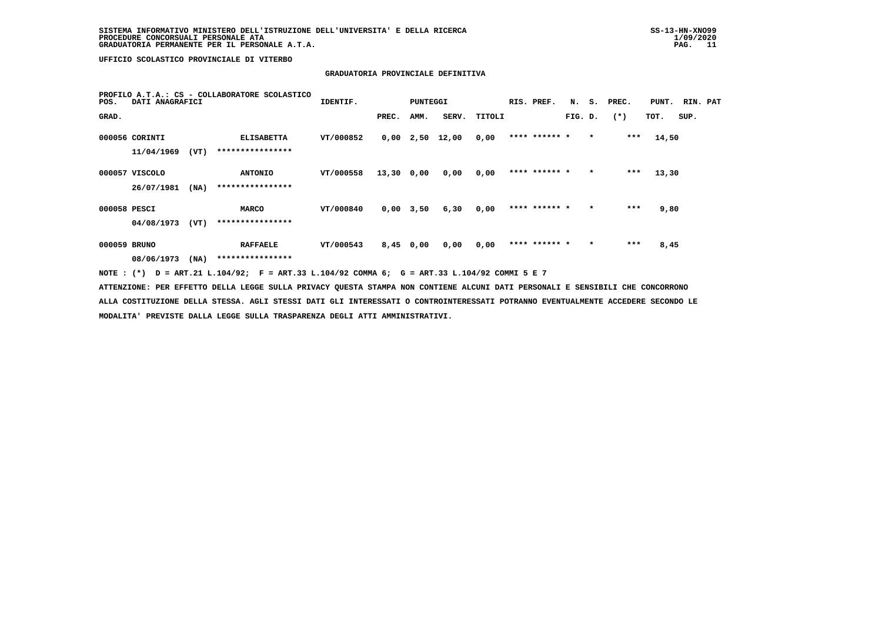# **GRADUATORIA PROVINCIALE DEFINITIVA**

| PROFILO A.T.A.: CS - COLLABORATORE SCOLASTICO<br>DATI ANAGRAFICI<br>POS.                                                        | IDENTIF.  |             | PUNTEGGI |                   |        | RIS. PREF.    |         |         | N. S. PREC. | PUNT. RIN. PAT |      |  |
|---------------------------------------------------------------------------------------------------------------------------------|-----------|-------------|----------|-------------------|--------|---------------|---------|---------|-------------|----------------|------|--|
| GRAD.                                                                                                                           |           | PREC.       | AMM.     | SERV.             | TITOLI |               | FIG. D. |         | $(*)$       | TOT.           | SUP. |  |
| 000056 CORINTI<br><b>ELISABETTA</b>                                                                                             | VT/000852 |             |          | $0,00$ 2,50 12,00 | 0,00   | **** ****** * |         | $\star$ | ***         | 14,50          |      |  |
| ****************<br>11/04/1969<br>(VT)                                                                                          |           |             |          |                   |        |               |         |         |             |                |      |  |
| 000057 VISCOLO<br><b>ANTONIO</b>                                                                                                | VT/000558 | 13,30 0,00  |          | 0,00              | 0,00   | **** ****** * |         | $\star$ | $***$       | 13,30          |      |  |
| ****************<br>26/07/1981<br>(NA)                                                                                          |           |             |          |                   |        |               |         |         |             |                |      |  |
| 000058 PESCI<br><b>MARCO</b>                                                                                                    | VT/000840 | $0,00$ 3,50 |          | 6,30              | 0,00   | **** ****** * |         | $\star$ | $***$       | 9,80           |      |  |
| ****************<br>04/08/1973<br>(VT)                                                                                          |           |             |          |                   |        |               |         |         |             |                |      |  |
| 000059 BRUNO<br><b>RAFFAELE</b>                                                                                                 | VT/000543 | 8,45 0,00   |          | 0,00              | 0,00   | **** ****** * |         |         | $***$       | 8,45           |      |  |
| ****************<br>08/06/1973 (NA)                                                                                             |           |             |          |                   |        |               |         |         |             |                |      |  |
| NOTE : (*) D = ART.21 L.104/92; F = ART.33 L.104/92 COMMA 6; G = ART.33 L.104/92 COMMI 5 E 7                                    |           |             |          |                   |        |               |         |         |             |                |      |  |
| ATTENZIONE: PER EFFETTO DELLA LEGGE SULLA PRIVACY QUESTA STAMPA NON CONTIENE ALCUNI DATI PERSONALI E SENSIBILI CHE CONCORRONO   |           |             |          |                   |        |               |         |         |             |                |      |  |
| ALLA COSTITUZIONE DELLA STESSA. AGLI STESSI DATI GLI INTERESSATI O CONTROINTERESSATI POTRANNO EVENTUALMENTE ACCEDERE SECONDO LE |           |             |          |                   |        |               |         |         |             |                |      |  |

 **MODALITA' PREVISTE DALLA LEGGE SULLA TRASPARENZA DEGLI ATTI AMMINISTRATIVI.**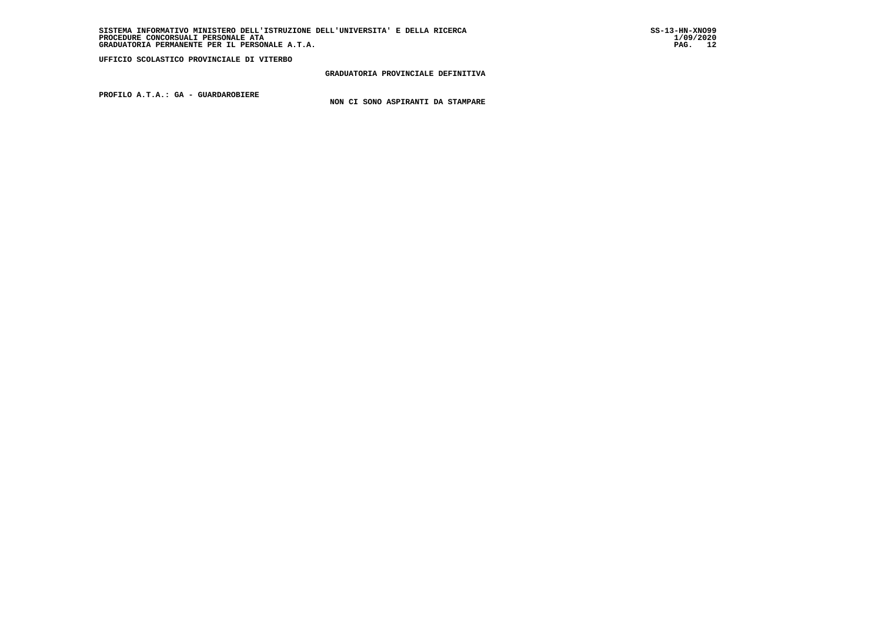## **GRADUATORIA PROVINCIALE DEFINITIVA**

 **PROFILO A.T.A.: GA - GUARDAROBIERE**

 **NON CI SONO ASPIRANTI DA STAMPARE**